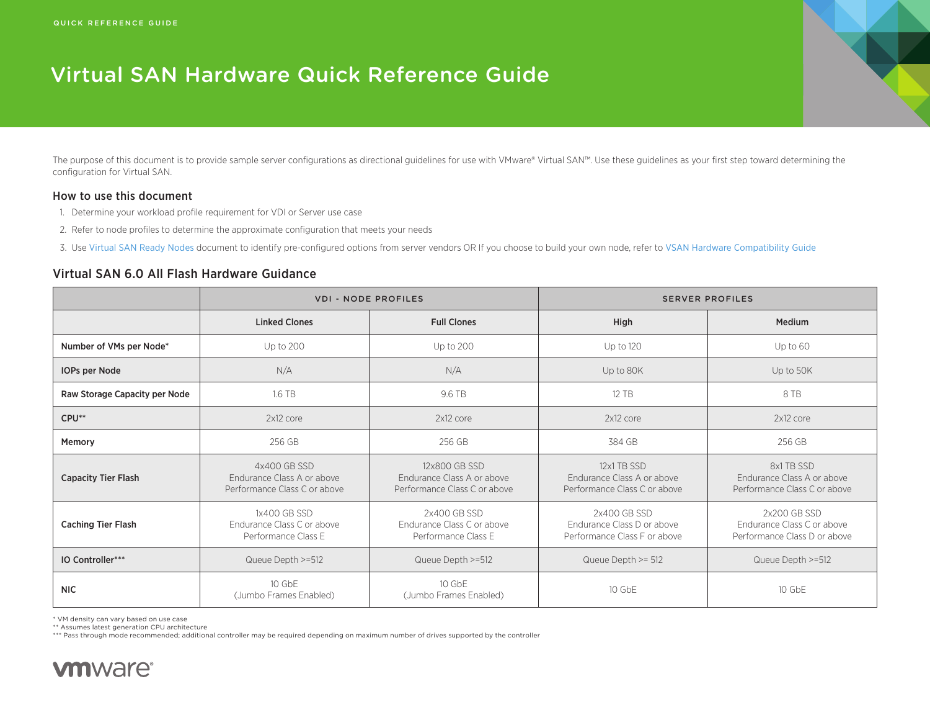# Virtual SAN Hardware Quick Reference Guide

The purpose of this document is to provide sample server configurations as directional guidelines for use with VMware® Virtual SAN™. Use these guidelines as your first step toward determining the configuration for Virtual SAN.

#### How to use this document

- 1. Determine your workload profile requirement for VDI or Server use case
- 2. Refer to node profiles to determine the approximate configuration that meets your needs
- 3. Use [Virtual SAN Ready Nodes](http://partnerweb.vmware.com/programs/vsan/Virtual%20SAN%20Ready%20Nodes.pdf) document to identify pre-configured options from server vendors OR If you choose to build your own node, refer to [VSAN Hardware Compatibility Guide](http://www.vmware.com/resources/compatibility/search.php?deviceCategory=vsan)

#### Virtual SAN 6.0 All Flash Hardware Guidance

|                               | <b>VDI - NODE PROFILES</b>                                                 |                                                                             | <b>SERVER PROFILES</b>                                                     |                                                                            |
|-------------------------------|----------------------------------------------------------------------------|-----------------------------------------------------------------------------|----------------------------------------------------------------------------|----------------------------------------------------------------------------|
|                               | <b>Linked Clones</b>                                                       | <b>Full Clones</b>                                                          | High                                                                       | Medium                                                                     |
| Number of VMs per Node*       | <b>Up to 200</b>                                                           | Up to 200                                                                   | Up to 120                                                                  | Up to 60                                                                   |
| IOPs per Node                 | N/A                                                                        | N/A                                                                         | Up to 80K                                                                  | Up to 50K                                                                  |
| Raw Storage Capacity per Node | 1.6 TB<br>9.6 TB                                                           |                                                                             | 12 TB                                                                      | 8 TB                                                                       |
| CPU**                         | 2x12 core                                                                  | 2x12 core                                                                   | 2x12 core                                                                  | 2x12 core                                                                  |
| Memory                        | 256 GB                                                                     | 256 GB                                                                      | 384 GB                                                                     | 256 GB                                                                     |
| <b>Capacity Tier Flash</b>    | 4x400 GB SSD<br>Endurance Class A or above<br>Performance Class C or above | 12x800 GB SSD<br>Endurance Class A or above<br>Performance Class C or above | 12x1 TB SSD<br>Endurance Class A or above<br>Performance Class C or above  | 8x1 TB SSD<br>Endurance Class A or above<br>Performance Class C or above   |
| <b>Caching Tier Flash</b>     | 1x400 GB SSD<br>Endurance Class C or above<br>Performance Class E          | 2x400 GB SSD<br>Endurance Class C or above<br>Performance Class E           | 2x400 GB SSD<br>Endurance Class D or above<br>Performance Class F or above | 2x200 GB SSD<br>Endurance Class C or above<br>Performance Class D or above |
| IO Controller***              | Queue Depth >=512<br>Queue Depth >=512                                     |                                                                             | Queue Depth >= 512                                                         | Queue Depth >=512                                                          |
| <b>NIC</b>                    | 10 GbE<br>(Jumbo Frames Enabled)                                           | 10 GbE<br>(Jumbo Frames Enabled)                                            | $10$ GbF                                                                   | 10 GbE                                                                     |

\* VM density can vary based on use case

\*\* Assumes latest generation CPU architecture

\*\*\* Pass through mode recommended; additional controller may be required depending on maximum number of drives supported by the controller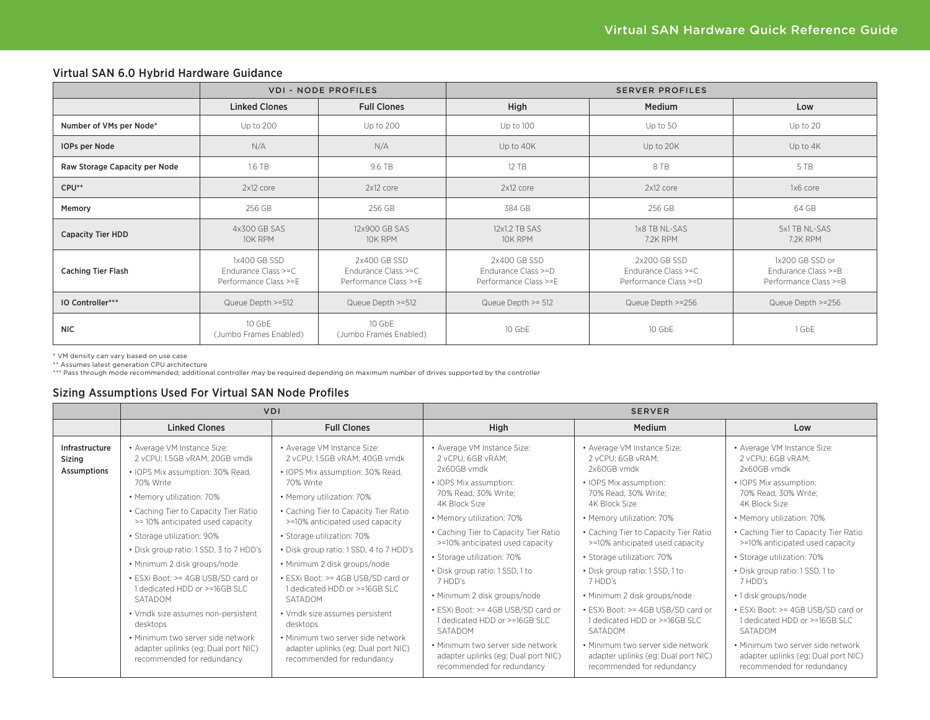|                               | <b>VDI - NODE PROFILES</b>                                   |                                                              | <b>SERVER PROFILES</b>                                       |                                                              |                                                                 |
|-------------------------------|--------------------------------------------------------------|--------------------------------------------------------------|--------------------------------------------------------------|--------------------------------------------------------------|-----------------------------------------------------------------|
|                               | <b>Linked Clones</b>                                         | <b>Full Clones</b>                                           | High                                                         | <b>Medium</b>                                                | Low                                                             |
| Number of VMs per Node*       | Up to 200                                                    | Up to 200                                                    | Up to 100                                                    | Up to 50                                                     | Up to 20                                                        |
| IOPs per Node                 | N/A                                                          | N/A                                                          | Up to 40K                                                    | Up to 20K                                                    | Up to 4K                                                        |
| Raw Storage Capacity per Node | 1.6 TB                                                       | 9.6 TB                                                       | 12 TB                                                        | 8 TB                                                         | 5 TB                                                            |
| CPU**                         | 2x12 core                                                    | 2x12 core                                                    | 2x12 core                                                    | 2x12 core                                                    | 1x6 core                                                        |
| Memory                        | 256 GB                                                       | 256 GB                                                       | 384 GB                                                       | 256 GB                                                       | 64 GB                                                           |
| <b>Capacity Tier HDD</b>      | 4x300 GB SAS<br>10K RPM                                      | 12x900 GB SAS<br>10K RPM                                     | 12x1.2 TB SAS<br>10K RPM                                     | 1x8 TB NL-SAS<br>7.2K RPM                                    | 5x1 TB NL-SAS<br>7.2K RPM                                       |
| <b>Caching Tier Flash</b>     | 1x400 GB SSD<br>Endurance Class >=C<br>Performance Class >=E | 2x400 GB SSD<br>Endurance Class >=C<br>Performance Class >=E | 2x400 GB SSD<br>Endurance Class >=D<br>Performance Class >=E | 2x200 GB SSD<br>Endurance Class >=C<br>Performance Class >=D | 1x200 GB SSD or<br>Endurance Class >=B<br>Performance Class >=B |
| <b>IO Controller***</b>       | Queue Depth >=512                                            | Queue Depth >=512                                            | Queue Depth >= 512                                           | Queue Depth >=256                                            | Queue Depth >=256                                               |
| <b>NIC</b>                    | 10 GbE<br>(Jumbo Frames Enabled)                             | 10 GbE<br>(Jumbo Frames Enabled)                             | 10 GbE                                                       | 10 GbE                                                       | 1 GbE                                                           |

#### Virtual SAN 6.0 Hybrid Hardware Guidance

\* VM density can vary based on use case

\*\* Assumes latest generation CPU architecture

\*\*\* Pass through mode recommended; additional controller may be required depending on maximum number of drives supported by the controller

### Sizing Assumptions Used For Virtual SAN Node Profiles

|                                         | <b>VDI</b>                                                                                                                                                       |                                                                                                        | <b>SERVER</b>                                                                                          |                                                                                                        |                                                                                                        |
|-----------------------------------------|------------------------------------------------------------------------------------------------------------------------------------------------------------------|--------------------------------------------------------------------------------------------------------|--------------------------------------------------------------------------------------------------------|--------------------------------------------------------------------------------------------------------|--------------------------------------------------------------------------------------------------------|
|                                         | <b>Linked Clones</b>                                                                                                                                             | <b>Full Clones</b>                                                                                     | High                                                                                                   | <b>Medium</b>                                                                                          | Low                                                                                                    |
| Infrastructure<br>Sizing<br>Assumptions | • Average VM Instance Size:<br>2 vCPU; 1.5GB vRAM; 20GB vmdk<br>• IOPS Mix assumption: 30% Read,                                                                 | • Average VM Instance Size:<br>2 vCPU; 1.5GB vRAM; 40GB vmdk<br>• IOPS Mix assumption: 30% Read,       | • Average VM Instance Size:<br>2 vCPU: 6GB vRAM:<br>2x60GB vmdk                                        | • Average VM Instance Size:<br>2 vCPU: 6GB vRAM:<br>2x60GB vmdk                                        | • Average VM Instance Size:<br>2 vCPU: 6GB vRAM:<br>2x60GB vmdk                                        |
|                                         | 70% Write<br>• Memory utilization: 70%                                                                                                                           | 70% Write<br>• Memory utilization: 70%                                                                 | • IOPS Mix assumption:<br>70% Read, 30% Write;<br>4K Block Size                                        | • IOPS Mix assumption:<br>70% Read, 30% Write:<br>4K Block Size                                        | • IOPS Mix assumption:<br>70% Read, 30% Write:<br>4K Block Size                                        |
|                                         | • Caching Tier to Capacity Tier Ratio<br>>=10% anticipated used capacity                                                                                         | • Caching Tier to Capacity Tier Ratio<br>>=10% anticipated used capacity                               | • Memory utilization: 70%                                                                              | • Memory utilization: 70%                                                                              | • Memory utilization: 70%                                                                              |
|                                         | · Storage utilization: 90%                                                                                                                                       | · Storage utilization: 70%                                                                             | • Caching Tier to Capacity Tier Ratio<br>>=10% anticipated used capacity                               | • Caching Tier to Capacity Tier Ratio<br>>=10% anticipated used capacity                               | • Caching Tier to Capacity Tier Ratio<br>>=10% anticipated used capacity                               |
|                                         | • Disk group ratio: 1 SSD, 3 to 7 HDD's<br>· Minimum 2 disk groups/node                                                                                          | • Disk group ratio: 1 SSD, 4 to 7 HDD's<br>· Minimum 2 disk groups/node                                | · Storage utilization: 70%                                                                             | • Storage utilization: 70%                                                                             | • Storage utilization: 70%                                                                             |
|                                         | • ESXi Boot: >= 4GB USB/SD card or<br>• ESXi Boot: >= 4GB USB/SD card or<br>1 dedicated HDD or >=16GB SLC<br>1 dedicated HDD or >=16GB SLC<br>SATADOM<br>SATADOM | • Disk group ratio: 1 SSD, 1 to<br>7 HDD's                                                             | • Disk group ratio: 1 SSD, 1 to<br>7 HDD's                                                             | • Disk group ratio: 1 SSD, 1 to<br>7 HDD's                                                             |                                                                                                        |
|                                         |                                                                                                                                                                  | • Minimum 2 disk groups/node                                                                           | · Minimum 2 disk groups/node                                                                           | • 1 disk groups/node                                                                                   |                                                                                                        |
|                                         | • Vmdk size assumes non-persistent<br>desktops                                                                                                                   | • Vmdk size assumes persistent<br>desktops                                                             | • ESXi Boot: >= 4GB USB/SD card or<br>1 dedicated HDD or >=16GB SLC<br>SATADOM                         | • ESXi Boot: >= 4GB USB/SD card or<br>1 dedicated HDD or >=16GB SLC<br>SATADOM                         | • ESXi Boot: >= 4GB USB/SD card or<br>1 dedicated HDD or >=16GB SLC<br>SATADOM                         |
|                                         | · Minimum two server side network<br>adapter uplinks (eg; Dual port NIC)<br>recommended for redundancy                                                           | · Minimum two server side network<br>adapter uplinks (eg; Dual port NIC)<br>recommended for redundancy | · Minimum two server side network<br>adapter uplinks (eg; Dual port NIC)<br>recommended for redundancy | · Minimum two server side network<br>adapter uplinks (eg; Dual port NIC)<br>recommended for redundancy | · Minimum two server side network<br>adapter uplinks (eg; Dual port NIC)<br>recommended for redundancy |